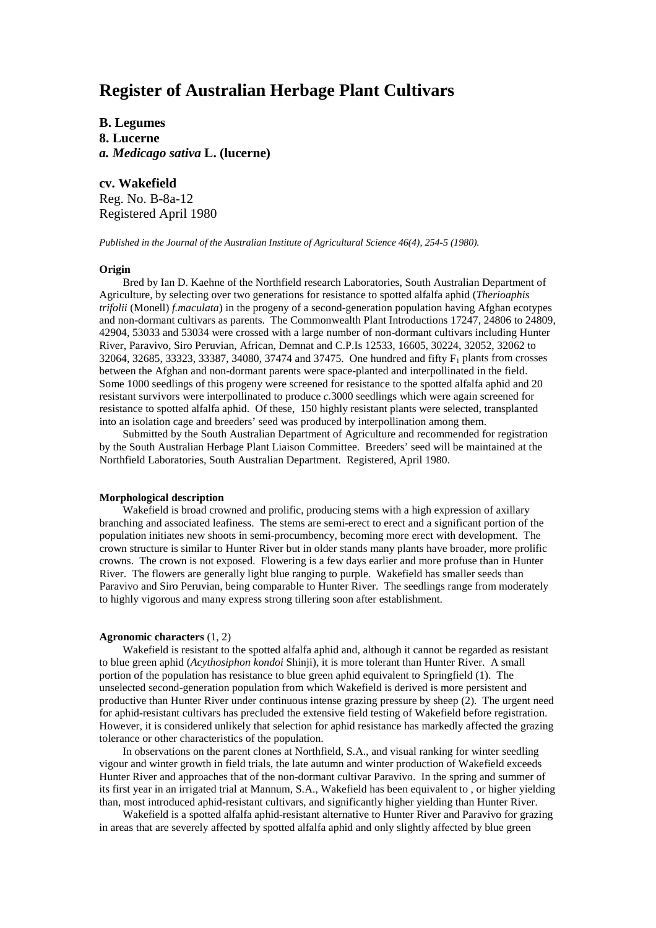# **Register of Australian Herbage Plant Cultivars**

**B. Legumes 8. Lucerne** *a. Medicago sativa* **L. (lucerne)**

**cv. Wakefield** Reg. No. B-8a-12 Registered April 1980

*Published in the Journal of the Australian Institute of Agricultural Science 46(4), 254-5 (1980).*

### **Origin**

Bred by Ian D. Kaehne of the Northfield research Laboratories, South Australian Department of Agriculture, by selecting over two generations for resistance to spotted alfalfa aphid (*Therioaphis trifolii* (Monell) *f.maculata*) in the progeny of a second-generation population having Afghan ecotypes and non-dormant cultivars as parents. The Commonwealth Plant Introductions 17247, 24806 to 24809, 42904, 53033 and 53034 were crossed with a large number of non-dormant cultivars including Hunter River, Paravivo, Siro Peruvian, African, Demnat and C.P.Is 12533, 16605, 30224, 32052, 32062 to 32064, 32685, 33323, 33387, 34080, 37474 and 37475. One hundred and fifty F<sub>1</sub> plants from crosses between the Afghan and non-dormant parents were space-planted and interpollinated in the field. Some 1000 seedlings of this progeny were screened for resistance to the spotted alfalfa aphid and 20 resistant survivors were interpollinated to produce *c.*3000 seedlings which were again screened for resistance to spotted alfalfa aphid. Of these, 150 highly resistant plants were selected, transplanted into an isolation cage and breeders' seed was produced by interpollination among them.

Submitted by the South Australian Department of Agriculture and recommended for registration by the South Australian Herbage Plant Liaison Committee. Breeders' seed will be maintained at the Northfield Laboratories, South Australian Department. Registered, April 1980.

#### **Morphological description**

Wakefield is broad crowned and prolific, producing stems with a high expression of axillary branching and associated leafiness. The stems are semi-erect to erect and a significant portion of the population initiates new shoots in semi-procumbency, becoming more erect with development. The crown structure is similar to Hunter River but in older stands many plants have broader, more prolific crowns. The crown is not exposed. Flowering is a few days earlier and more profuse than in Hunter River. The flowers are generally light blue ranging to purple. Wakefield has smaller seeds than Paravivo and Siro Peruvian, being comparable to Hunter River. The seedlings range from moderately to highly vigorous and many express strong tillering soon after establishment.

#### **Agronomic characters** (1, 2)

Wakefield is resistant to the spotted alfalfa aphid and, although it cannot be regarded as resistant to blue green aphid (*Acythosiphon kondoi* Shinji), it is more tolerant than Hunter River. A small portion of the population has resistance to blue green aphid equivalent to Springfield (1). The unselected second-generation population from which Wakefield is derived is more persistent and productive than Hunter River under continuous intense grazing pressure by sheep (2). The urgent need for aphid-resistant cultivars has precluded the extensive field testing of Wakefield before registration. However, it is considered unlikely that selection for aphid resistance has markedly affected the grazing tolerance or other characteristics of the population.

In observations on the parent clones at Northfield, S.A., and visual ranking for winter seedling vigour and winter growth in field trials, the late autumn and winter production of Wakefield exceeds Hunter River and approaches that of the non-dormant cultivar Paravivo. In the spring and summer of its first year in an irrigated trial at Mannum, S.A., Wakefield has been equivalent to , or higher yielding than, most introduced aphid-resistant cultivars, and significantly higher yielding than Hunter River.

Wakefield is a spotted alfalfa aphid-resistant alternative to Hunter River and Paravivo for grazing in areas that are severely affected by spotted alfalfa aphid and only slightly affected by blue green